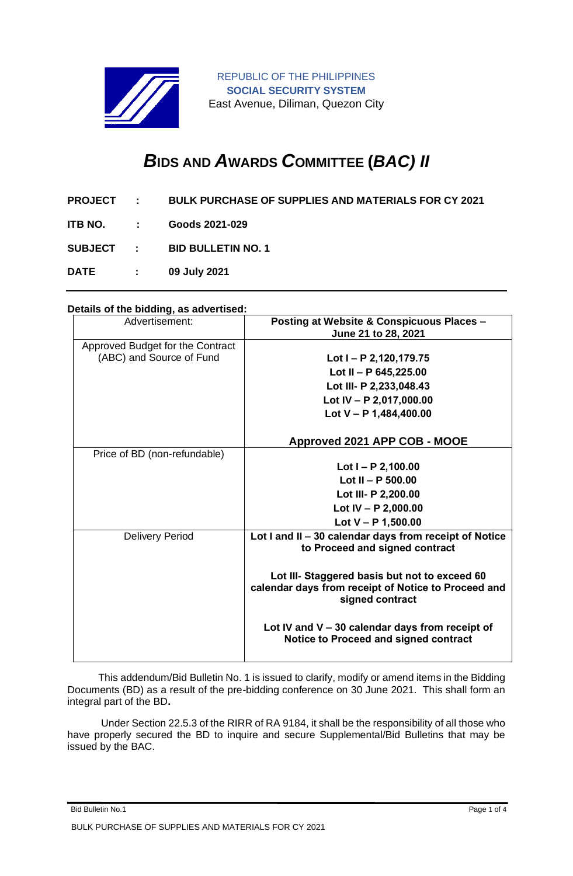

REPUBLIC OF THE PHILIPPINES **SOCIAL SECURITY SYSTEM** East Avenue, Diliman, Quezon City

# *B***IDS AND** *A***WARDS** *C***OMMITTEE (***BAC) II*

- **PROJECT : BULK PURCHASE OF SUPPLIES AND MATERIALS FOR CY 2021**
- **ITB NO. : Goods 2021-029**

**SUBJECT : BID BULLETIN NO. 1**

**DATE : 09 July 2021**

# **Details of the bidding, as advertised:**

| Advertisement:                   | <b>Posting at Website &amp; Conspicuous Places -</b><br>June 21 to 28, 2021                                             |
|----------------------------------|-------------------------------------------------------------------------------------------------------------------------|
| Approved Budget for the Contract |                                                                                                                         |
| (ABC) and Source of Fund         | Lot I - P 2,120,179.75                                                                                                  |
|                                  | Lot II - P $645,225.00$                                                                                                 |
|                                  | Lot III- P 2,233,048.43                                                                                                 |
|                                  | Lot IV - P 2,017,000.00                                                                                                 |
|                                  | Lot $V - P$ 1,484,400.00                                                                                                |
|                                  | Approved 2021 APP COB - MOOE                                                                                            |
| Price of BD (non-refundable)     |                                                                                                                         |
|                                  | Lot $I - P$ 2,100.00                                                                                                    |
|                                  | Lot II - P $500.00$                                                                                                     |
|                                  | Lot III- P 2,200.00                                                                                                     |
|                                  | Lot IV - P 2,000.00                                                                                                     |
|                                  | Lot $V - P$ 1,500.00                                                                                                    |
| <b>Delivery Period</b>           | Lot I and II - 30 calendar days from receipt of Notice<br>to Proceed and signed contract                                |
|                                  | Lot III- Staggered basis but not to exceed 60<br>calendar days from receipt of Notice to Proceed and<br>signed contract |
|                                  | Lot IV and $V - 30$ calendar days from receipt of<br>Notice to Proceed and signed contract                              |

 This addendum/Bid Bulletin No. 1 is issued to clarify, modify or amend items in the Bidding Documents (BD) as a result of the pre-bidding conference on 30 June 2021. This shall form an integral part of the BD**.**

Under Section 22.5.3 of the RIRR of RA 9184, it shall be the responsibility of all those who have properly secured the BD to inquire and secure Supplemental/Bid Bulletins that may be issued by the BAC.

Bid Bulletin No.1 Page 1 of 4 BULK PURCHASE OF SUPPLIES AND MATERIALS FOR CY 2021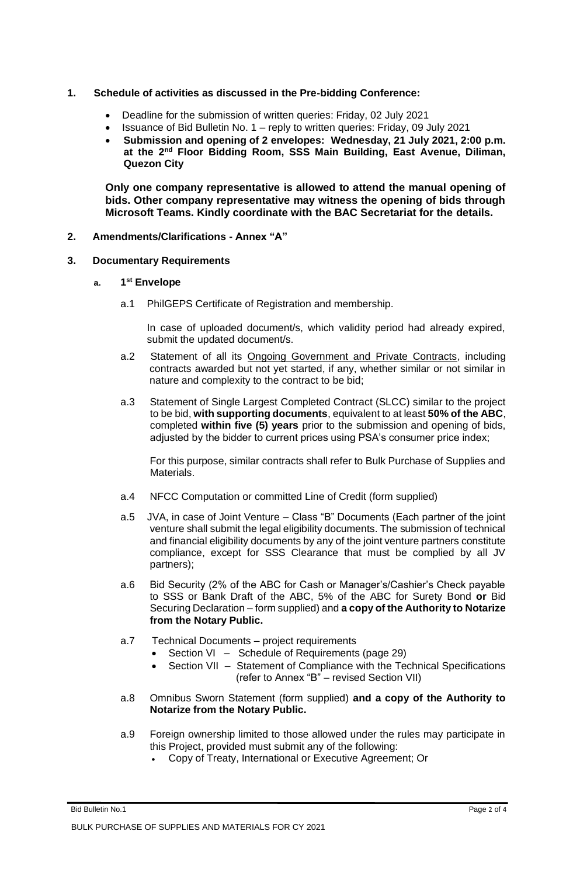## **1. Schedule of activities as discussed in the Pre-bidding Conference:**

- Deadline for the submission of written queries: Friday, 02 July 2021
- Issuance of Bid Bulletin No. 1 reply to written queries: Friday, 09 July 2021
- **Submission and opening of 2 envelopes: Wednesday, 21 July 2021, 2:00 p.m. at the 2nd Floor Bidding Room, SSS Main Building, East Avenue, Diliman, Quezon City**

**Only one company representative is allowed to attend the manual opening of bids. Other company representative may witness the opening of bids through Microsoft Teams. Kindly coordinate with the BAC Secretariat for the details.**

**2. Amendments/Clarifications - Annex "A"**

#### **3. Documentary Requirements**

## **a. 1 st Envelope**

a.1 PhilGEPS Certificate of Registration and membership.

In case of uploaded document/s, which validity period had already expired, submit the updated document/s.

- a.2 Statement of all its Ongoing Government and Private Contracts, including contracts awarded but not yet started, if any, whether similar or not similar in nature and complexity to the contract to be bid;
- a.3 Statement of Single Largest Completed Contract (SLCC) similar to the project to be bid, **with supporting documents**, equivalent to at least **50% of the ABC**, completed **within five (5) years** prior to the submission and opening of bids, adjusted by the bidder to current prices using PSA's consumer price index;

For this purpose, similar contracts shall refer to Bulk Purchase of Supplies and Materials.

- a.4 NFCC Computation or committed Line of Credit (form supplied)
- a.5 JVA, in case of Joint Venture Class "B" Documents (Each partner of the joint venture shall submit the legal eligibility documents. The submission of technical and financial eligibility documents by any of the joint venture partners constitute compliance, except for SSS Clearance that must be complied by all JV partners);
- a.6 Bid Security (2% of the ABC for Cash or Manager's/Cashier's Check payable to SSS or Bank Draft of the ABC, 5% of the ABC for Surety Bond **or** Bid Securing Declaration – form supplied) and **a copy of the Authority to Notarize from the Notary Public.**
- a.7 Technical Documents project requirements
	- Section VI Schedule of Requirements (page 29)
	- Section VII Statement of Compliance with the Technical Specifications (refer to Annex "B" – revised Section VII)
- a.8 Omnibus Sworn Statement (form supplied) **and a copy of the Authority to Notarize from the Notary Public.**
- a.9 Foreign ownership limited to those allowed under the rules may participate in this Project, provided must submit any of the following:
	- Copy of Treaty, International or Executive Agreement; Or

Bid Bulletin No.1 Page 2 of 4 BULK PURCHASE OF SUPPLIES AND MATERIALS FOR CY 2021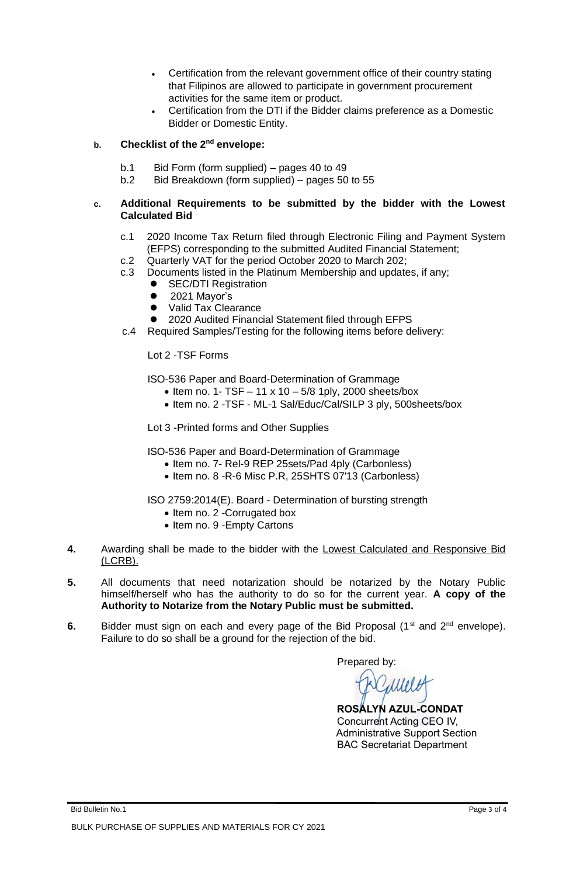- Certification from the relevant government office of their country stating that Filipinos are allowed to participate in government procurement activities for the same item or product.
- Certification from the DTI if the Bidder claims preference as a Domestic Bidder or Domestic Entity.

# **b. Checklist of the 2nd envelope:**

- b.1 Bid Form (form supplied) pages 40 to 49<br>b.2 Bid Breakdown (form supplied) pages 50
- Bid Breakdown (form supplied) pages 50 to 55

## **c. Additional Requirements to be submitted by the bidder with the Lowest Calculated Bid**

- c.1 2020 Income Tax Return filed through Electronic Filing and Payment System (EFPS) corresponding to the submitted Audited Financial Statement;
- c.2 Quarterly VAT for the period October 2020 to March 202;
- c.3 Documents listed in the Platinum Membership and updates, if any;
	- **SEC/DTI Registration**
	- 2021 Mayor's
	- ⚫ Valid Tax Clearance
	- 2020 Audited Financial Statement filed through EFPS
- c.4 Required Samples/Testing for the following items before delivery:

Lot 2 -TSF Forms

ISO-536 Paper and Board-Determination of Grammage

- $\bullet$  Item no. 1- TSF  $-$  11 x 10  $-$  5/8 1ply, 2000 sheets/box
- Item no. 2 -TSF ML-1 Sal/Educ/Cal/SILP 3 ply, 500sheets/box

Lot 3 -Printed forms and Other Supplies

ISO-536 Paper and Board-Determination of Grammage

- Item no. 7- Rel-9 REP 25sets/Pad 4ply (Carbonless)
- Item no. 8 -R-6 Misc P.R, 25SHTS 07'13 (Carbonless)

ISO 2759:2014(E). Board - Determination of bursting strength

- Item no. 2 -Corrugated box
- Item no. 9 -Empty Cartons
- **4.** Awarding shall be made to the bidder with the Lowest Calculated and Responsive Bid (LCRB).
- **5.** All documents that need notarization should be notarized by the Notary Public himself/herself who has the authority to do so for the current year. **A copy of the Authority to Notarize from the Notary Public must be submitted.**
- **6.** Bidder must sign on each and every page of the Bid Proposal (1<sup>st</sup> and 2<sup>nd</sup> envelope). Failure to do so shall be a ground for the rejection of the bid.

Prepared by:

dunio

 **ROSALYN AZUL-CONDAT** Concurrent Acting CEO IV, Administrative Support Section BAC Secretariat Department

Bid Bulletin No.1 Page 3 of 4